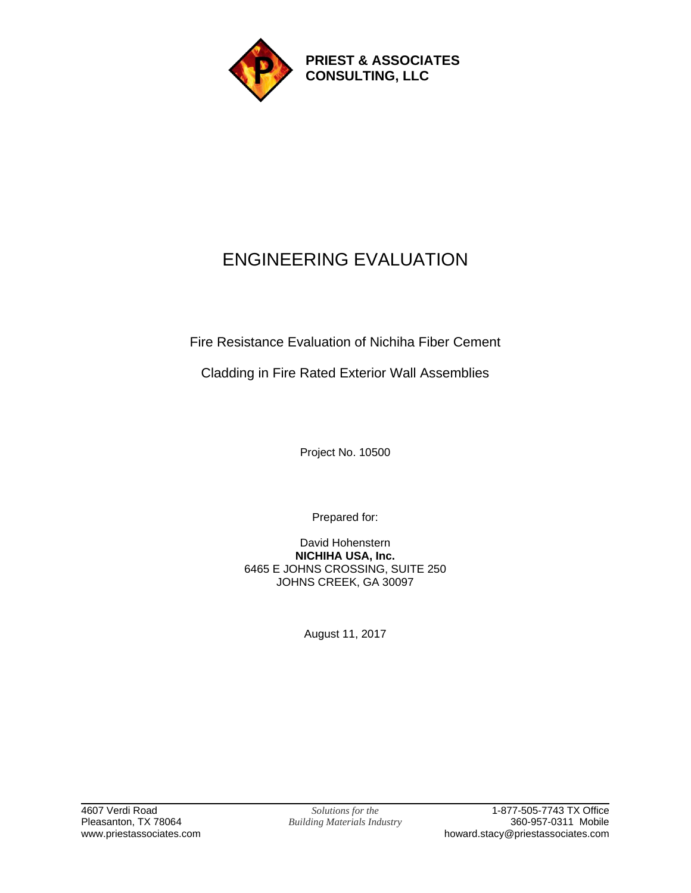

# ENGINEERING EVALUATION

Fire Resistance Evaluation of Nichiha Fiber Cement

Cladding in Fire Rated Exterior Wall Assemblies

Project No. 10500

Prepared for:

David Hohenstern **NICHIHA USA, Inc.** 6465 E JOHNS CROSSING, SUITE 250 JOHNS CREEK, GA 30097

August 11, 2017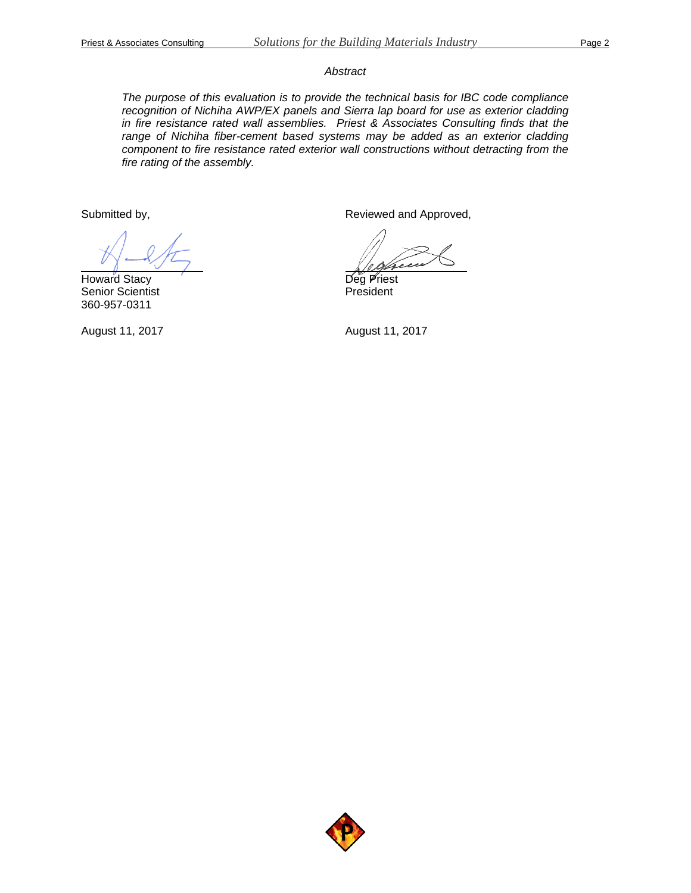#### *Abstract*

*The purpose of this evaluation is to provide the technical basis for IBC code compliance recognition of Nichiha AWP/EX panels and Sierra lap board for use as exterior cladding in fire resistance rated wall assemblies. Priest & Associates Consulting finds that the range of Nichiha fiber-cement based systems may be added as an exterior cladding component to fire resistance rated exterior wall constructions without detracting from the fire rating of the assembly.*

Submitted by,

Howard Stacy Senior Scientist 360-957-0311

August 11, 2017

Reviewed and Approved,

Deg Priest President

August 11, 2017

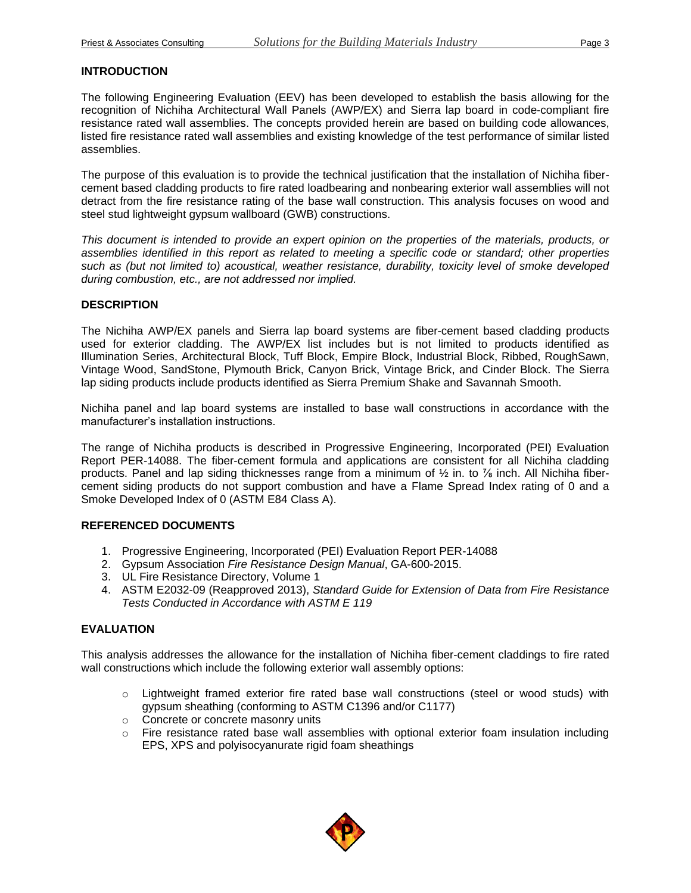### **INTRODUCTION**

The following Engineering Evaluation (EEV) has been developed to establish the basis allowing for the recognition of Nichiha Architectural Wall Panels (AWP/EX) and Sierra lap board in code-compliant fire resistance rated wall assemblies. The concepts provided herein are based on building code allowances, listed fire resistance rated wall assemblies and existing knowledge of the test performance of similar listed assemblies.

The purpose of this evaluation is to provide the technical justification that the installation of Nichiha fibercement based cladding products to fire rated loadbearing and nonbearing exterior wall assemblies will not detract from the fire resistance rating of the base wall construction. This analysis focuses on wood and steel stud lightweight gypsum wallboard (GWB) constructions.

*This document is intended to provide an expert opinion on the properties of the materials, products, or assemblies identified in this report as related to meeting a specific code or standard; other properties such as (but not limited to) acoustical, weather resistance, durability, toxicity level of smoke developed during combustion, etc., are not addressed nor implied.*

#### **DESCRIPTION**

The Nichiha AWP/EX panels and Sierra lap board systems are fiber-cement based cladding products used for exterior cladding. The AWP/EX list includes but is not limited to products identified as Illumination Series, Architectural Block, Tuff Block, Empire Block, Industrial Block, Ribbed, RoughSawn, Vintage Wood, SandStone, Plymouth Brick, Canyon Brick, Vintage Brick, and Cinder Block. The Sierra lap siding products include products identified as Sierra Premium Shake and Savannah Smooth.

Nichiha panel and lap board systems are installed to base wall constructions in accordance with the manufacturer's installation instructions.

The range of Nichiha products is described in Progressive Engineering, Incorporated (PEI) Evaluation Report PER-14088. The fiber-cement formula and applications are consistent for all Nichiha cladding products. Panel and lap siding thicknesses range from a minimum of  $\frac{1}{2}$  in. to  $\frac{7}{8}$  inch. All Nichiha fibercement siding products do not support combustion and have a Flame Spread Index rating of 0 and a Smoke Developed Index of 0 (ASTM E84 Class A).

#### **REFERENCED DOCUMENTS**

- 1. Progressive Engineering, Incorporated (PEI) Evaluation Report PER-14088
- 2. Gypsum Association *Fire Resistance Design Manual*, GA-600-2015.
- 3. UL Fire Resistance Directory, Volume 1
- 4. ASTM E2032-09 (Reapproved 2013), *Standard Guide for Extension of Data from Fire Resistance Tests Conducted in Accordance with ASTM E 119*

# **EVALUATION**

This analysis addresses the allowance for the installation of Nichiha fiber-cement claddings to fire rated wall constructions which include the following exterior wall assembly options:

- $\circ$  Lightweight framed exterior fire rated base wall constructions (steel or wood studs) with gypsum sheathing (conforming to ASTM C1396 and/or C1177)
- o Concrete or concrete masonry units
- $\circ$  Fire resistance rated base wall assemblies with optional exterior foam insulation including EPS, XPS and polyisocyanurate rigid foam sheathings

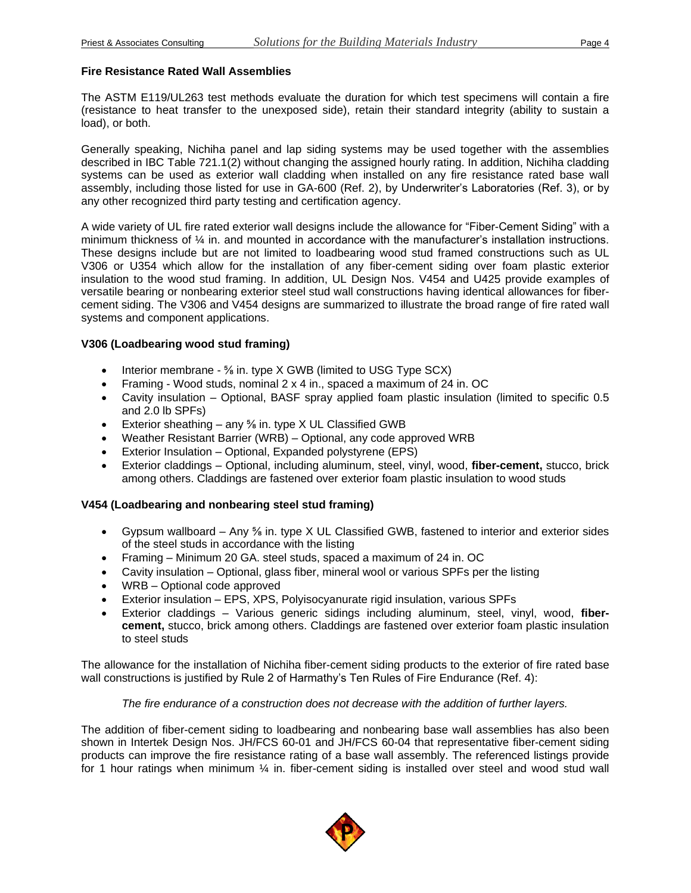### **Fire Resistance Rated Wall Assemblies**

The ASTM E119/UL263 test methods evaluate the duration for which test specimens will contain a fire (resistance to heat transfer to the unexposed side), retain their standard integrity (ability to sustain a load), or both.

Generally speaking, Nichiha panel and lap siding systems may be used together with the assemblies described in IBC Table 721.1(2) without changing the assigned hourly rating. In addition, Nichiha cladding systems can be used as exterior wall cladding when installed on any fire resistance rated base wall assembly, including those listed for use in GA-600 (Ref. 2), by Underwriter's Laboratories (Ref. 3), or by any other recognized third party testing and certification agency.

A wide variety of UL fire rated exterior wall designs include the allowance for "Fiber-Cement Siding" with a minimum thickness of ¼ in. and mounted in accordance with the manufacturer's installation instructions. These designs include but are not limited to loadbearing wood stud framed constructions such as UL V306 or U354 which allow for the installation of any fiber-cement siding over foam plastic exterior insulation to the wood stud framing. In addition, UL Design Nos. V454 and U425 provide examples of versatile bearing or nonbearing exterior steel stud wall constructions having identical allowances for fibercement siding. The V306 and V454 designs are summarized to illustrate the broad range of fire rated wall systems and component applications.

# **V306 (Loadbearing wood stud framing)**

- Interior membrane % in. type X GWB (limited to USG Type SCX)
- Framing Wood studs, nominal 2 x 4 in., spaced a maximum of 24 in. OC
- Cavity insulation Optional, BASF spray applied foam plastic insulation (limited to specific 0.5 and 2.0 lb SPFs)
- Exterior sheathing any  $\frac{5}{6}$  in. type X UL Classified GWB
- Weather Resistant Barrier (WRB) Optional, any code approved WRB
- Exterior Insulation Optional, Expanded polystyrene (EPS)
- Exterior claddings Optional, including aluminum, steel, vinyl, wood, **fiber-cement,** stucco, brick among others. Claddings are fastened over exterior foam plastic insulation to wood studs

# **V454 (Loadbearing and nonbearing steel stud framing)**

- Gypsum wallboard Any  $\frac{5}{6}$  in. type X UL Classified GWB, fastened to interior and exterior sides of the steel studs in accordance with the listing
- Framing Minimum 20 GA. steel studs, spaced a maximum of 24 in. OC
- Cavity insulation Optional, glass fiber, mineral wool or various SPFs per the listing
- WRB Optional code approved
- Exterior insulation EPS, XPS, Polyisocyanurate rigid insulation, various SPFs
- Exterior claddings Various generic sidings including aluminum, steel, vinyl, wood, **fibercement,** stucco, brick among others. Claddings are fastened over exterior foam plastic insulation to steel studs

The allowance for the installation of Nichiha fiber-cement siding products to the exterior of fire rated base wall constructions is justified by Rule 2 of Harmathy's Ten Rules of Fire Endurance (Ref. 4):

# *The fire endurance of a construction does not decrease with the addition of further layers.*

The addition of fiber-cement siding to loadbearing and nonbearing base wall assemblies has also been shown in Intertek Design Nos. JH/FCS 60-01 and JH/FCS 60-04 that representative fiber-cement siding products can improve the fire resistance rating of a base wall assembly. The referenced listings provide for 1 hour ratings when minimum  $\frac{1}{4}$  in. fiber-cement siding is installed over steel and wood stud wall